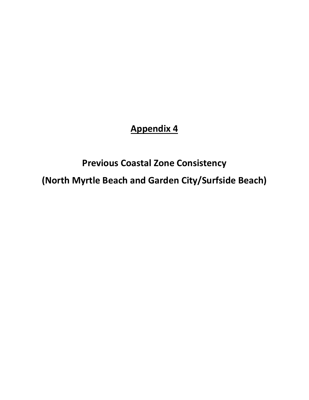## **Appendix 4**

# **Previous Coastal Zone Consistency**

**(North Myrtle Beach and Garden City/Surfside Beach)**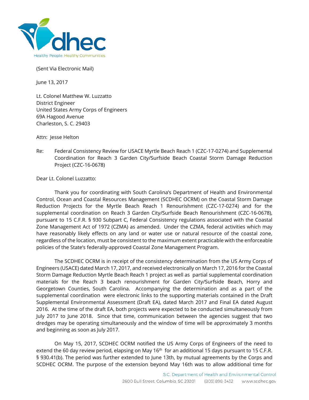

(Sent Via Electronic Mail)

June 13, 2017

Lt. Colonel Matthew W. Luzzatto District Engineer United States Army Corps of Engineers 69A Hagood Avenue Charleston, S. C. 29403

Attn: Jesse Helton

Re: Federal Consistency Review for USACE Myrtle Beach Reach 1 (CZC-17-0274) and Supplemental Coordination for Reach 3 Garden City/Surfside Beach Coastal Storm Damage Reduction Project (CZC-16-0678)

Dear Lt. Colonel Luzzatto:

Thank you for coordinating with South Carolina's Department of Health and Environmental Control, Ocean and Coastal Resources Management (SCDHEC OCRM) on the Coastal Storm Damage Reduction Projects for the Myrtle Beach Reach 1 Renourishment (CZC-17-0274) and for the supplemental coordination on Reach 3 Garden City/Surfside Beach Renourishment (CZC-16-0678), pursuant to 15 C.F.R. § 930 Subpart C, Federal Consistency regulations associated with the Coastal Zone Management Act of 1972 (CZMA) as amended. Under the CZMA, federal activities which may have reasonably likely effects on any land or water use or natural resource of the coastal zone, regardless of the location, must be consistent to the maximum extent practicable with the enforceable policies of the State's federally-approved Coastal Zone Management Program.

The SCDHEC OCRM is in receipt of the consistency determination from the US Army Corps of Engineers (USACE) dated March 17, 2017, and received electronically on March 17, 2016 for the Coastal Storm Damage Reduction Myrtle Beach Reach 1 project as well as partial supplemental coordination materials for the Reach 3 beach renourishment for Garden City/Surfside Beach, Horry and Georgetown Counties, South Carolina. Accompanying the determination and as a part of the supplemental coordination were electronic links to the supporting materials contained in the Draft Supplemental Environmental Assessment (Draft EA), dated March 2017 and Final EA dated August 2016. At the time of the draft EA, both projects were expected to be conducted simultaneously from July 2017 to June 2018. Since that time, communication between the agencies suggest that two dredges may be operating simultaneously and the window of time will be approximately 3 months and beginning as soon as July 2017.

On May 15, 2017, SCDHEC OCRM notified the US Army Corps of Engineers of the need to extend the 60 day review period, elapsing on May 16<sup>th</sup> for an additional 15 days pursuant to 15 C.F.R. § 930.41(b). The period was further extended to June 13th, by mutual agreements by the Corps and SCDHEC OCRM. The purpose of the extension beyond May 16th was to allow additional time for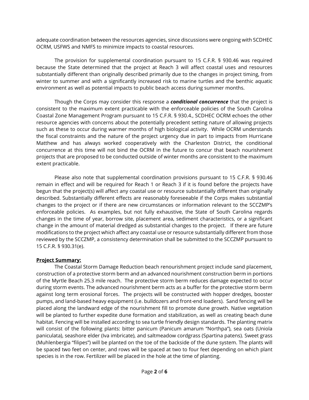adequate coordination between the resources agencies, since discussions were ongoing with SCDHEC OCRM, USFWS and NMFS to minimize impacts to coastal resources.

The provision for supplemental coordination pursuant to 15 C.F.R. § 930.46 was required because the State determined that the project at Reach 3 will affect coastal uses and resources substantially different than originally described primarily due to the changes in project timing, from winter to summer and with a significantly increased risk to marine turtles and the benthic aquatic environment as well as potential impacts to public beach access during summer months.

Though the Corps may consider this response a *conditional concurrence* that the project is consistent to the maximum extent practicable with the enforceable policies of the South Carolina Coastal Zone Management Program pursuant to 15 C.F.R. § 930.4., SCDHEC OCRM echoes the other resource agencies with concerns about the potentially precedent setting nature of allowing projects such as these to occur during warmer months of high biological activity. While OCRM understands the fiscal constraints and the nature of the project urgency due in part to impacts from Hurricane Matthew and has always worked cooperatively with the Charleston District, the conditional concurrence at this time will not bind the OCRM in the future to concur that beach nourishment projects that are proposed to be conducted outside of winter months are consistent to the maximum extent practicable.

Please also note that supplemental coordination provisions pursuant to 15 C.F.R. § 930.46 remain in effect and will be required for Reach 1 or Reach 3 if it is found before the projects have begun that the project(s) will affect any coastal use or resource substantially different than originally described. Substantially different effects are reasonably foreseeable if the Corps makes substantial changes to the project or if there are new circumstances or information relevant to the SCCZMP's enforceable policies. As examples, but not fully exhaustive, the State of South Carolina regards changes in the time of year, borrow site, placement area, sediment characteristics, or a significant change in the amount of material dredged as substantial changes to the project. If there are future modifications to the project which affect any coastal use or resource substantially different from those reviewed by the SCCZMP, a consistency determination shall be submitted to the SCCZMP pursuant to 15 C.F.R. § 930.31(e).

#### **Project Summary:**

The Coastal Storm Damage Reduction beach renourishment project include sand placement, construction of a protective storm berm and an advanced nourishment construction berm in portions of the Myrtle Beach 25.3 mile reach. The protective storm berm reduces damage expected to occur during storm events. The advanced nourishment berm acts as a buffer for the protective storm berm against long term erosional forces. The projects will be constructed with hopper dredges, booster pumps, and land-based heavy equipment (i.e. bulldozers and front-end loaders). Sand fencing will be placed along the landward edge of the nourishment fill to promote dune growth. Native vegetation will be planted to further expedite dune formation and stabilization, as well as creating beach dune habitat. Fencing will be installed according to sea turtle friendly design standards. The planting matrix will consist of the following plants: bitter panicum (Panicum amarum "Northpa"), sea oats (Uniola paniculata), seashore elder (Iva imbricate), and saltmeadow cordgrass (Spartina patens). Sweet grass (Muhlenbergia "filipes") will be planted on the toe of the backside of the dune system. The plants will be spaced two feet on center, and rows will be spaced at two to four feet depending on which plant species is in the row. Fertilizer will be placed in the hole at the time of planting.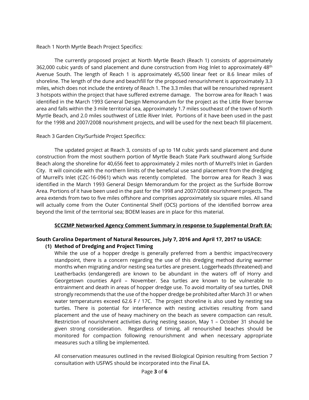Reach 1 North Myrtle Beach Project Specifics:

The currently proposed project at North Myrtle Beach (Reach 1) consists of approximately 362,000 cubic yards of sand placement and dune construction from Hog Inlet to approximately 48<sup>th</sup> Avenue South. The length of Reach 1 is approximately 45,500 linear feet or 8.6 linear miles of shoreline. The length of the dune and beachfill for the proposed renourishment is approximately 3.3 miles, which does not include the entirety of Reach 1. The 3.3 miles that will be renourished represent 3 hotspots within the project that have suffered extreme damage. The borrow area for Reach 1 was identified in the March 1993 General Design Memorandum for the project as the Little River borrow area and falls within the 3 mile territorial sea, approximately 1.7 miles southeast of the town of North Myrtle Beach, and 2.0 miles southwest of Little River Inlet. Portions of it have been used in the past for the 1998 and 2007/2008 nourishment projects, and will be used for the next beach fill placement.

#### Reach 3 Garden City/Surfside Project Specifics:

The updated project at Reach 3, consists of up to 1M cubic yards sand placement and dune construction from the most southern portion of Myrtle Beach State Park southward along Surfside Beach along the shoreline for 40,656 feet to approximately 2 miles north of Murrell's Inlet in Garden City. It will coincide with the northern limits of the beneficial use sand placement from the dredging of Murrell's Inlet (CZC-16-0961) which was recently completed. The borrow area for Reach 3 was identified in the March 1993 General Design Memorandum for the project as the Surfside Borrow Area. Portions of it have been used in the past for the 1998 and 2007/2008 nourishment projects. The area extends from two to five miles offshore and comprises approximately six square miles. All sand will actually come from the Outer Continental Shelf (OCS) portions of the identified borrow area beyond the limit of the territorial sea; BOEM leases are in place for this material.

#### **SCCZMP Networked Agency Comment Summary in response to Supplemental Draft EA:**

## **South Carolina Department of Natural Resources, July 7, 2016 and April 17, 2017 to USACE:**

#### **(1) Method of Dredging and Project Timing**

While the use of a hopper dredge is generally preferred from a benthic impact/recovery standpoint, there is a concern regarding the use of this dredging method during warmer months when migrating and/or nesting sea turtles are present. Loggerheads (threatened) and Leatherbacks (endangered) are known to be abundant in the waters off of Horry and Georgetown counties April – November. Sea turtles are known to be vulnerable to entrainment and death in areas of hopper dredge use. To avoid mortality of sea turtles, DNR strongly recommends that the use of the hopper dredge be prohibited after March 31 or when water temperatures exceed 62.6 F / 17C. The project shoreline is also used by nesting sea turtles. There is potential for interference with nesting activities resulting from sand placement and the use of heavy machinery on the beach as severe compaction can result. Restriction of nourishment activities during nesting season, May 1 – October 31 should be given strong consideration. Regardless of timing, all renourished beaches should be monitored for compaction following renourishment and when necessary appropriate measures such a tilling be implemented.

All conservation measures outlined in the revised Biological Opinion resulting from Section 7 consultation with USFWS should be incorporated into the Final EA.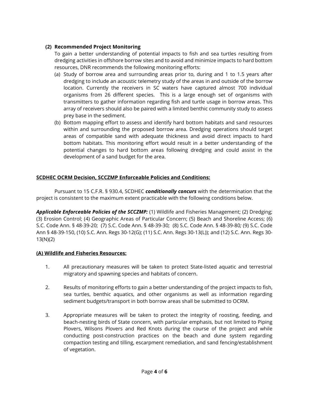#### **(2) Recommended Project Monitoring**

To gain a better understanding of potential impacts to fish and sea turtles resulting from dredging activities in offshore borrow sites and to avoid and minimize impacts to hard bottom resources, DNR recommends the following monitoring efforts:

- (a) Study of borrow area and surrounding areas prior to, during and 1 to 1.5 years after dredging to include an acoustic telemetry study of the areas in and outside of the borrow location. Currently the receivers in SC waters have captured almost 700 individual organisms from 26 different species. This is a large enough set of organisms with transmitters to gather information regarding fish and turtle usage in borrow areas. This array of receivers should also be paired with a limited benthic community study to assess prey base in the sediment.
- (b) Bottom mapping effort to assess and identify hard bottom habitats and sand resources within and surrounding the proposed borrow area. Dredging operations should target areas of compatible sand with adequate thickness and avoid direct impacts to hard bottom habitats. This monitoring effort would result in a better understanding of the potential changes to hard bottom areas following dredging and could assist in the development of a sand budget for the area.

### **SCDHEC OCRM Decision, SCCZMP Enforceable Policies and Conditions:**

Pursuant to 15 C.F.R. § 930.4, SCDHEC *conditionally concurs* with the determination that the project is consistent to the maximum extent practicable with the following conditions below.

*Applicable Enforceable Policies of the SCCZMP:* (1) Wildlife and Fisheries Management; (2) Dredging; (3) Erosion Control; (4) Geographic Areas of Particular Concern; (5) Beach and Shoreline Access; (6) S.C. Code Ann. § 48-39-20; (7) S.C. Code Ann. § 48-39-30; (8) S.C. Code Ann. § 48-39-80*;* (9) S.C. Code Ann § 48-39-150, (10) S.C. Ann. Regs 30-12(G); (11) S.C. Ann. Regs 30-13(L)); and (12) S.C. Ann. Regs 30- 13(N)(2)

#### **(A) Wildlife and Fisheries Resources:**

- 1. All precautionary measures will be taken to protect State-listed aquatic and terrestrial migratory and spawning species and habitats of concern.
- 2. Results of monitoring efforts to gain a better understanding of the project impacts to fish, sea turtles, benthic aquatics, and other organisms as well as information regarding sediment budgets/transport in both borrow areas shall be submitted to OCRM.
- 3. Appropriate measures will be taken to protect the integrity of roosting, feeding, and beach-nesting birds of State concern, with particular emphasis, but not limited to Piping Plovers, Wilsons Plovers and Red Knots during the course of the project and while conducting post-construction practices on the beach and dune system regarding compaction testing and tilling, escarpment remediation, and sand fencing/establishment of vegetation.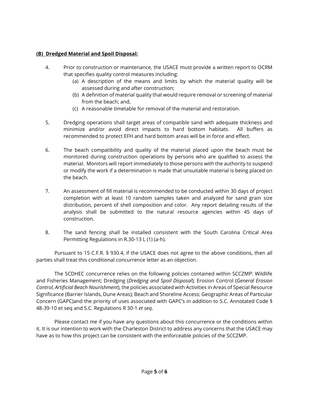## **(B) Dredged Material and Spoil Disposal:**

- 4. Prior to construction or maintenance, the USACE must provide a written report to OCRM that specifies quality control measures including:
	- (a) A description of the means and limits by which the material quality will be assessed during and after construction;
	- (b) A definition of material quality that would require removal or screening of material from the beach; and,
	- (c) A reasonable timetable for removal of the material and restoration.
- 5. Dredging operations shall target areas of compatible sand with adequate thickness and minimize and/or avoid direct impacts to hard bottom habitats. All buffers as recommended to protect EFH and hard bottom areas will be in force and effect.
- 6. The beach compatibility and quality of the material placed upon the beach must be monitored during construction operations by persons who are qualified to assess the material. Monitors will report immediately to those persons with the authority to suspend or modify the work if a determination is made that unsuitable material is being placed on the beach.
- 7. An assessment of fill material is recommended to be conducted within 30 days of project completion with at least 10 random samples taken and analyzed for sand grain size distribution, percent of shell composition and color. Any report detailing results of the analysis shall be submitted to the natural resource agencies within 45 days of construction.
- 8. The sand fencing shall be installed consistent with the South Carolina Critical Area Permitting Regulations in R.30-13 L (1) (a-h).

Pursuant to 15 C.F.R. § 930.4, if the USACE does not agree to the above conditions, then all parties shall treat this conditional concurrence letter as an objection.

The SCDHEC concurrence relies on the following policies contained within SCCZMP: Wildlife and Fisheries Management; Dredging (*Dredging and Spoil Disposal*); Erosion Control (*General Erosion Control, Artificial Beach Nourishment*), the policies associated with Activities in Areas of Special Resource Significance (Barrier Islands, Dune Areas); Beach and Shoreline Access; Geographic Areas of Particular Concern (GAPC)and the priority of uses associated with GAPC's in addition to S.C. Annotated Code § 48-39-10 et seq and S.C. Regulations R 30-1 *et seq*.

Please contact me if you have any questions about this concurrence or the conditions within it. It is our intention to work with the Charleston District to address any concerns that the USACE may have as to how this project can be consistent with the enforceable policies of the SCCZMP.